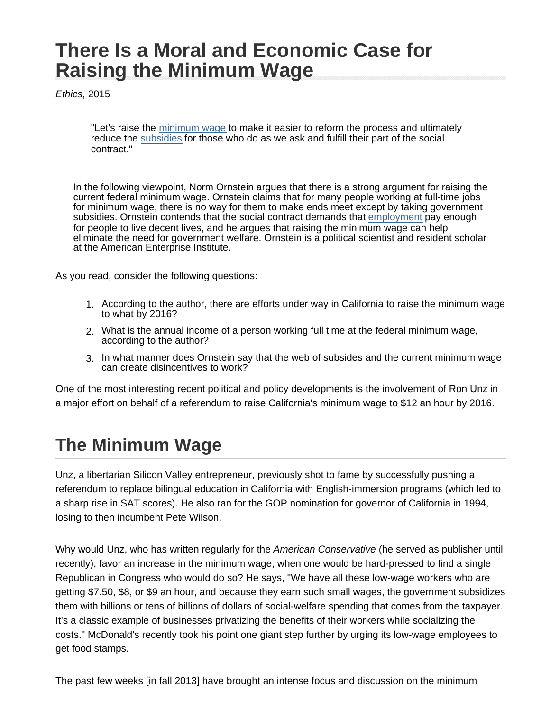## **There Is a Moral and Economic Case for Raising the Minimum Wage**

Ethics, 2015

"Let's raise the [minimum wage](#) to make it easier to reform the process and ultimately reduce the [subsidies](#) for those who do as we ask and fulfill their part of the social contract."

In the following viewpoint, Norm Ornstein argues that there is a strong argument for raising the current federal minimum wage. Ornstein claims that for many people working at full-time jobs for minimum wage, there is no way for them to make ends meet except by taking government subsidies. Ornstein contends that the social contract demands that [employment](#) pay enough for people to live decent lives, and he argues that raising the minimum wage can help eliminate the need for government welfare. Ornstein is a political scientist and resident scholar at the American Enterprise Institute.

As you read, consider the following questions:

- 1. According to the author, there are efforts under way in California to raise the minimum wage to what by 2016?
- 2. What is the annual income of a person working full time at the federal minimum wage, according to the author?
- 3. In what manner does Ornstein say that the web of subsides and the current minimum wage can create disincentives to work?

One of the most interesting recent political and policy developments is the involvement of Ron Unz in a major effort on behalf of a referendum to raise California's minimum wage to \$12 an hour by 2016.

### **The Minimum Wage**

Unz, a libertarian Silicon Valley entrepreneur, previously shot to fame by successfully pushing a referendum to replace bilingual education in California with English-immersion programs (which led to a sharp rise in SAT scores). He also ran for the GOP nomination for governor of California in 1994, losing to then incumbent Pete Wilson.

Why would Unz, who has written regularly for the American Conservative (he served as publisher until recently), favor an increase in the minimum wage, when one would be hard-pressed to find a single Republican in Congress who would do so? He says, "We have all these low-wage workers who are getting \$7.50, \$8, or \$9 an hour, and because they earn such small wages, the government subsidizes them with billions or tens of billions of dollars of social-welfare spending that comes from the taxpayer. It's a classic example of businesses privatizing the benefits of their workers while socializing the costs." McDonald's recently took his point one giant step further by urging its low-wage employees to get food stamps.

The past few weeks [in fall 2013] have brought an intense focus and discussion on the minimum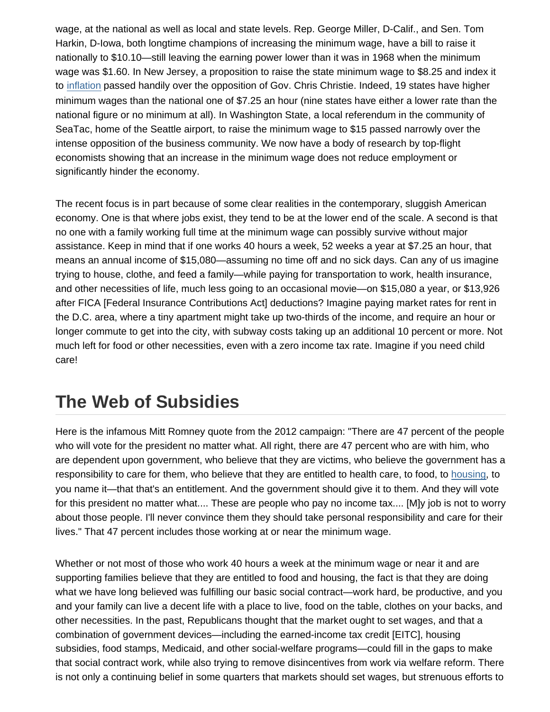wage, at the national as well as local and state levels. Rep. George Miller, D-Calif., and Sen. Tom Harkin, D-Iowa, both longtime champions of increasing the minimum wage, have a bill to raise it nationally to \$10.10—still leaving the earning power lower than it was in 1968 when the minimum wage was \$1.60. In New Jersey, a proposition to raise the state minimum wage to \$8.25 and index it to [inflation](#) passed handily over the opposition of Gov. Chris Christie. Indeed, 19 states have higher minimum wages than the national one of \$7.25 an hour (nine states have either a lower rate than the national figure or no minimum at all). In Washington State, a local referendum in the community of SeaTac, home of the Seattle airport, to raise the minimum wage to \$15 passed narrowly over the intense opposition of the business community. We now have a body of research by top-flight economists showing that an increase in the minimum wage does not reduce employment or significantly hinder the economy.

The recent focus is in part because of some clear realities in the contemporary, sluggish American economy. One is that where jobs exist, they tend to be at the lower end of the scale. A second is that no one with a family working full time at the minimum wage can possibly survive without major assistance. Keep in mind that if one works 40 hours a week, 52 weeks a year at \$7.25 an hour, that means an annual income of \$15,080—assuming no time off and no sick days. Can any of us imagine trying to house, clothe, and feed a family—while paying for transportation to work, health insurance, and other necessities of life, much less going to an occasional movie—on \$15,080 a year, or \$13,926 after FICA [Federal Insurance Contributions Act] deductions? Imagine paying market rates for rent in the D.C. area, where a tiny apartment might take up two-thirds of the income, and require an hour or longer commute to get into the city, with subway costs taking up an additional 10 percent or more. Not much left for food or other necessities, even with a zero income tax rate. Imagine if you need child care!

## **The Web of Subsidies**

Here is the infamous Mitt Romney quote from the 2012 campaign: "There are 47 percent of the people who will vote for the president no matter what. All right, there are 47 percent who are with him, who are dependent upon government, who believe that they are victims, who believe the government has a responsibility to care for them, who believe that they are entitled to health care, to food, to [housing](#), to you name it—that that's an entitlement. And the government should give it to them. And they will vote for this president no matter what.... These are people who pay no income tax.... [M]y job is not to worry about those people. I'll never convince them they should take personal responsibility and care for their lives." That 47 percent includes those working at or near the minimum wage.

Whether or not most of those who work 40 hours a week at the minimum wage or near it and are supporting families believe that they are entitled to food and housing, the fact is that they are doing what we have long believed was fulfilling our basic social contract—work hard, be productive, and you and your family can live a decent life with a place to live, food on the table, clothes on your backs, and other necessities. In the past, Republicans thought that the market ought to set wages, and that a combination of government devices—including the earned-income tax credit [EITC], housing subsidies, food stamps, Medicaid, and other social-welfare programs—could fill in the gaps to make that social contract work, while also trying to remove disincentives from work via welfare reform. There is not only a continuing belief in some quarters that markets should set wages, but strenuous efforts to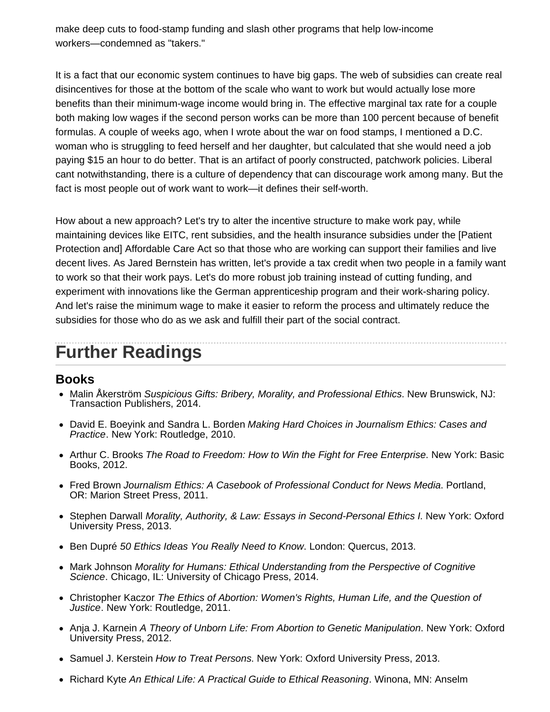make deep cuts to food-stamp funding and slash other programs that help low-income workers—condemned as "takers."

It is a fact that our economic system continues to have big gaps. The web of subsidies can create real disincentives for those at the bottom of the scale who want to work but would actually lose more benefits than their minimum-wage income would bring in. The effective marginal tax rate for a couple both making low wages if the second person works can be more than 100 percent because of benefit formulas. A couple of weeks ago, when I wrote about the war on food stamps, I mentioned a D.C. woman who is struggling to feed herself and her daughter, but calculated that she would need a job paying \$15 an hour to do better. That is an artifact of poorly constructed, patchwork policies. Liberal cant notwithstanding, there is a culture of dependency that can discourage work among many. But the fact is most people out of work want to work—it defines their self-worth.

How about a new approach? Let's try to alter the incentive structure to make work pay, while maintaining devices like EITC, rent subsidies, and the health insurance subsidies under the [Patient Protection and] Affordable Care Act so that those who are working can support their families and live decent lives. As Jared Bernstein has written, let's provide a tax credit when two people in a family want to work so that their work pays. Let's do more robust job training instead of cutting funding, and experiment with innovations like the German apprenticeship program and their work-sharing policy. And let's raise the minimum wage to make it easier to reform the process and ultimately reduce the subsidies for those who do as we ask and fulfill their part of the social contract.

# **Further Readings**

### **Books**

- Malin Åkerström Suspicious Gifts: Bribery, Morality, and Professional Ethics. New Brunswick, NJ: Transaction Publishers, 2014.
- David E. Boeyink and Sandra L. Borden Making Hard Choices in Journalism Ethics: Cases and Practice. New York: Routledge, 2010.
- Arthur C. Brooks The Road to Freedom: How to Win the Fight for Free Enterprise. New York: Basic Books, 2012.
- Fred Brown Journalism Ethics: A Casebook of Professional Conduct for News Media. Portland. OR: Marion Street Press, 2011.
- Stephen Darwall Morality, Authority, & Law: Essays in Second-Personal Ethics I. New York: Oxford University Press, 2013.
- Ben Dupré 50 Ethics Ideas You Really Need to Know. London: Quercus, 2013.
- Mark Johnson Morality for Humans: Ethical Understanding from the Perspective of Cognitive Science. Chicago, IL: University of Chicago Press, 2014.
- Christopher Kaczor The Ethics of Abortion: Women's Rights, Human Life, and the Question of Justice. New York: Routledge, 2011.
- Anja J. Karnein A Theory of Unborn Life: From Abortion to Genetic Manipulation. New York: Oxford University Press, 2012.
- Samuel J. Kerstein How to Treat Persons. New York: Oxford University Press, 2013.
- Richard Kyte An Ethical Life: A Practical Guide to Ethical Reasoning. Winona, MN: Anselm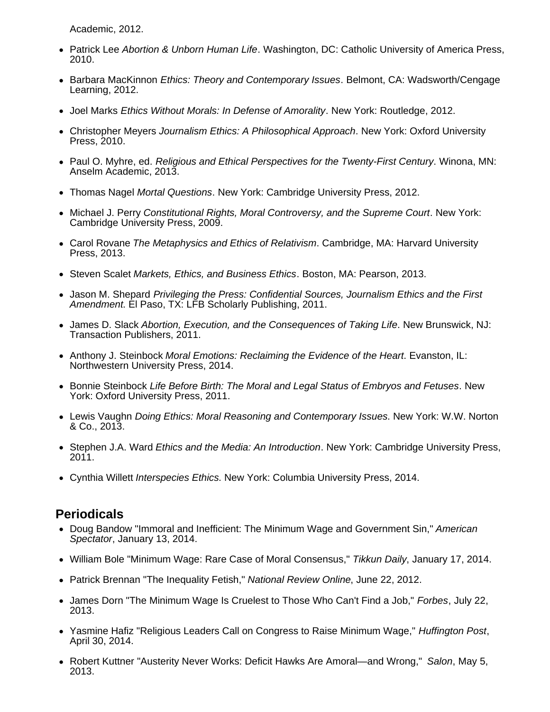Academic, 2012.

- Patrick Lee Abortion & Unborn Human Life. Washington, DC: Catholic University of America Press, 2010.
- Barbara MacKinnon *Ethics: Theory and Contemporary Issues*. Belmont, CA: Wadsworth/Cengage Learning, 2012.
- Joel Marks Ethics Without Morals: In Defense of Amorality. New York: Routledge, 2012.
- Christopher Meyers Journalism Ethics: A Philosophical Approach. New York: Oxford University Press, 2010.
- Paul O. Myhre, ed. Religious and Ethical Perspectives for the Twenty-First Century. Winona, MN: Anselm Academic, 2013.
- Thomas Nagel Mortal Questions. New York: Cambridge University Press, 2012.
- Michael J. Perry Constitutional Rights, Moral Controversy, and the Supreme Court. New York: Cambridge University Press, 2009.
- Carol Rovane The Metaphysics and Ethics of Relativism. Cambridge, MA: Harvard University Press, 2013.
- Steven Scalet Markets, Ethics, and Business Ethics. Boston, MA: Pearson, 2013.
- Jason M. Shepard Privileging the Press: Confidential Sources, Journalism Ethics and the First Amendment. El Paso, TX: LFB Scholarly Publishing, 2011.
- James D. Slack Abortion, Execution, and the Consequences of Taking Life. New Brunswick, NJ: Transaction Publishers, 2011.
- Anthony J. Steinbock Moral Emotions: Reclaiming the Evidence of the Heart. Evanston, IL: Northwestern University Press, 2014.
- Bonnie Steinbock Life Before Birth: The Moral and Legal Status of Embryos and Fetuses. New York: Oxford University Press, 2011.
- Lewis Vaughn Doing Ethics: Moral Reasoning and Contemporary Issues. New York: W.W. Norton & Co., 2013.
- Stephen J.A. Ward Ethics and the Media: An Introduction. New York: Cambridge University Press, 2011.
- Cynthia Willett *Interspecies Ethics*. New York: Columbia University Press, 2014.

### **Periodicals**

- Doug Bandow "Immoral and Inefficient: The Minimum Wage and Government Sin," American Spectator, January 13, 2014.
- William Bole "Minimum Wage: Rare Case of Moral Consensus," Tikkun Daily, January 17, 2014.
- Patrick Brennan "The Inequality Fetish," National Review Online, June 22, 2012.
- James Dorn "The Minimum Wage Is Cruelest to Those Who Can't Find a Job," Forbes, July 22, 2013.
- Yasmine Hafiz "Religious Leaders Call on Congress to Raise Minimum Wage," *Huffington Post*, April 30, 2014.
- Robert Kuttner "Austerity Never Works: Deficit Hawks Are Amoral—and Wrong," Salon, May 5, 2013.